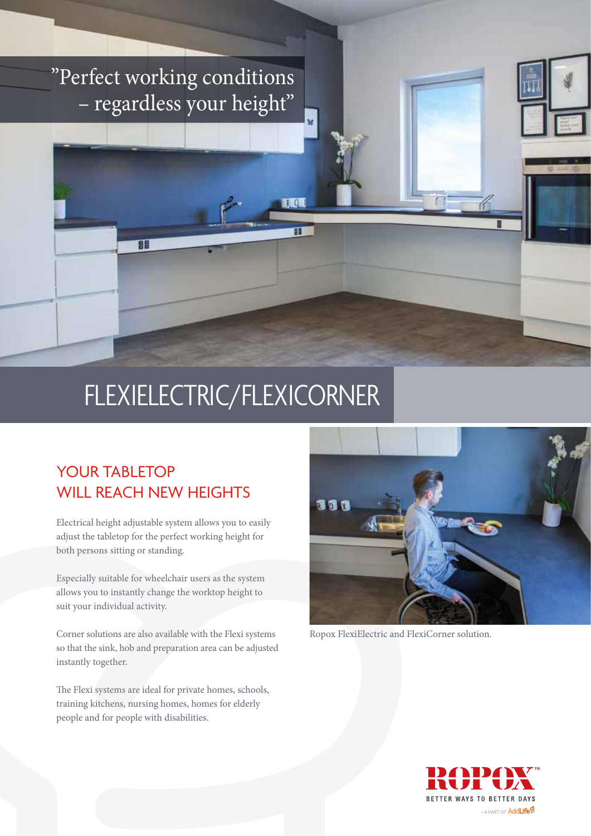### "Perfect working conditions – regardless your height"

## FLEXIELECTRIC/FLEXICORNER

 $\mathbb{R}$  0

Ŧ

#### YOUR TABLETOP WILL REACH NEW HEIGHTS

Œ

Electrical height adjustable system allows you to easily adjust the tabletop for the perfect working height for both persons sitting or standing.

Especially suitable for wheelchair users as the system allows you to instantly change the worktop height to suit your individual activity.

Corner solutions are also available with the Flexi systems so that the sink, hob and preparation area can be adjusted instantly together.

The Flexi systems are ideal for private homes, schools, training kitchens, nursing homes, homes for elderly people and for people with disabilities.



Ropox FlexiElectric and FlexiCorner solution.